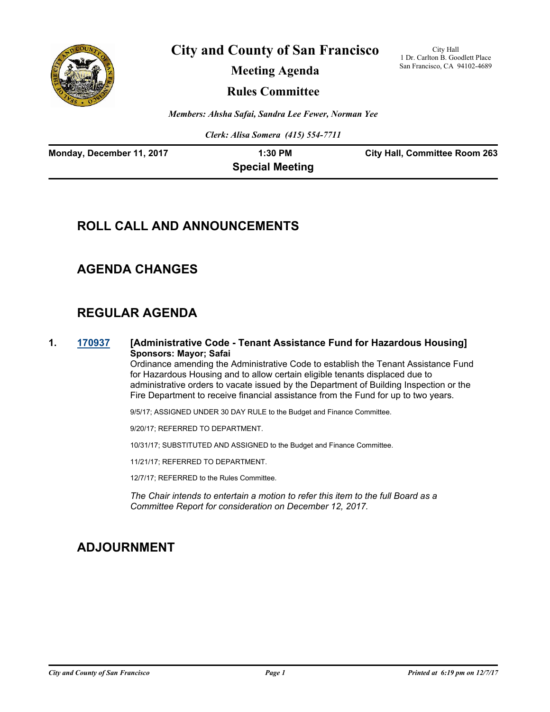

**City and County of San Francisco**

**Meeting Agenda**

City Hall 1 Dr. Carlton B. Goodlett Place San Francisco, CA 94102-4689

**Rules Committee**

*Members: Ahsha Safai, Sandra Lee Fewer, Norman Yee*

*Clerk: Alisa Somera (415) 554-7711*

| Monday, December 11, 2017 | 1:30 PM                | <b>City Hall, Committee Room 263</b> |
|---------------------------|------------------------|--------------------------------------|
|                           | <b>Special Meeting</b> |                                      |

# **ROLL CALL AND ANNOUNCEMENTS**

### **AGENDA CHANGES**

# **REGULAR AGENDA**

**1. [170937](http://sfgov.legistar.com/gateway.aspx?m=l&id=32483) [Administrative Code - Tenant Assistance Fund for Hazardous Housing] Sponsors: Mayor; Safai**

> Ordinance amending the Administrative Code to establish the Tenant Assistance Fund for Hazardous Housing and to allow certain eligible tenants displaced due to administrative orders to vacate issued by the Department of Building Inspection or the Fire Department to receive financial assistance from the Fund for up to two years.

9/5/17; ASSIGNED UNDER 30 DAY RULE to the Budget and Finance Committee.

9/20/17; REFERRED TO DEPARTMENT.

10/31/17; SUBSTITUTED AND ASSIGNED to the Budget and Finance Committee.

11/21/17; REFERRED TO DEPARTMENT.

12/7/17; REFERRED to the Rules Committee.

*The Chair intends to entertain a motion to refer this item to the full Board as a Committee Report for consideration on December 12, 2017.*

### **ADJOURNMENT**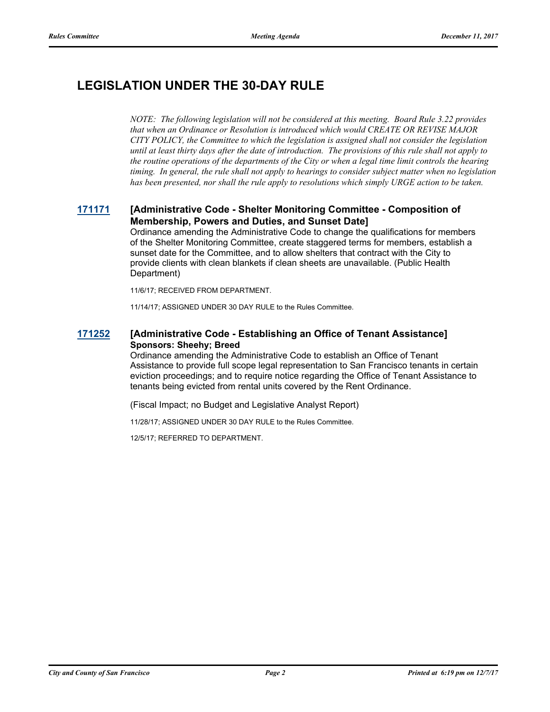# **LEGISLATION UNDER THE 30-DAY RULE**

*NOTE: The following legislation will not be considered at this meeting. Board Rule 3.22 provides that when an Ordinance or Resolution is introduced which would CREATE OR REVISE MAJOR CITY POLICY, the Committee to which the legislation is assigned shall not consider the legislation until at least thirty days after the date of introduction. The provisions of this rule shall not apply to the routine operations of the departments of the City or when a legal time limit controls the hearing timing. In general, the rule shall not apply to hearings to consider subject matter when no legislation has been presented, nor shall the rule apply to resolutions which simply URGE action to be taken.*

#### **[171171](http://sfgov.legistar.com/gateway.aspx?m=l&id=32713) [Administrative Code - Shelter Monitoring Committee - Composition of Membership, Powers and Duties, and Sunset Date]**

Ordinance amending the Administrative Code to change the qualifications for members of the Shelter Monitoring Committee, create staggered terms for members, establish a sunset date for the Committee, and to allow shelters that contract with the City to provide clients with clean blankets if clean sheets are unavailable. (Public Health Department)

11/6/17; RECEIVED FROM DEPARTMENT.

11/14/17; ASSIGNED UNDER 30 DAY RULE to the Rules Committee.

#### **[171252](http://sfgov.legistar.com/gateway.aspx?m=l&id=32794) [Administrative Code - Establishing an Office of Tenant Assistance] Sponsors: Sheehy; Breed**

Ordinance amending the Administrative Code to establish an Office of Tenant Assistance to provide full scope legal representation to San Francisco tenants in certain eviction proceedings; and to require notice regarding the Office of Tenant Assistance to tenants being evicted from rental units covered by the Rent Ordinance.

(Fiscal Impact; no Budget and Legislative Analyst Report)

11/28/17; ASSIGNED UNDER 30 DAY RULE to the Rules Committee.

12/5/17; REFERRED TO DEPARTMENT.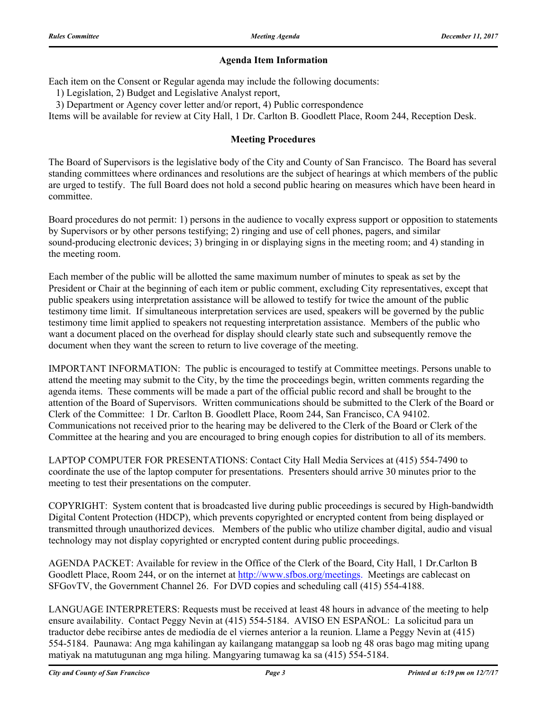#### **Agenda Item Information**

Each item on the Consent or Regular agenda may include the following documents:

1) Legislation, 2) Budget and Legislative Analyst report,

3) Department or Agency cover letter and/or report, 4) Public correspondence

Items will be available for review at City Hall, 1 Dr. Carlton B. Goodlett Place, Room 244, Reception Desk.

#### **Meeting Procedures**

The Board of Supervisors is the legislative body of the City and County of San Francisco. The Board has several standing committees where ordinances and resolutions are the subject of hearings at which members of the public are urged to testify. The full Board does not hold a second public hearing on measures which have been heard in committee.

Board procedures do not permit: 1) persons in the audience to vocally express support or opposition to statements by Supervisors or by other persons testifying; 2) ringing and use of cell phones, pagers, and similar sound-producing electronic devices; 3) bringing in or displaying signs in the meeting room; and 4) standing in the meeting room.

Each member of the public will be allotted the same maximum number of minutes to speak as set by the President or Chair at the beginning of each item or public comment, excluding City representatives, except that public speakers using interpretation assistance will be allowed to testify for twice the amount of the public testimony time limit. If simultaneous interpretation services are used, speakers will be governed by the public testimony time limit applied to speakers not requesting interpretation assistance. Members of the public who want a document placed on the overhead for display should clearly state such and subsequently remove the document when they want the screen to return to live coverage of the meeting.

IMPORTANT INFORMATION: The public is encouraged to testify at Committee meetings. Persons unable to attend the meeting may submit to the City, by the time the proceedings begin, written comments regarding the agenda items. These comments will be made a part of the official public record and shall be brought to the attention of the Board of Supervisors. Written communications should be submitted to the Clerk of the Board or Clerk of the Committee: 1 Dr. Carlton B. Goodlett Place, Room 244, San Francisco, CA 94102. Communications not received prior to the hearing may be delivered to the Clerk of the Board or Clerk of the Committee at the hearing and you are encouraged to bring enough copies for distribution to all of its members.

LAPTOP COMPUTER FOR PRESENTATIONS: Contact City Hall Media Services at (415) 554-7490 to coordinate the use of the laptop computer for presentations. Presenters should arrive 30 minutes prior to the meeting to test their presentations on the computer.

COPYRIGHT: System content that is broadcasted live during public proceedings is secured by High-bandwidth Digital Content Protection (HDCP), which prevents copyrighted or encrypted content from being displayed or transmitted through unauthorized devices. Members of the public who utilize chamber digital, audio and visual technology may not display copyrighted or encrypted content during public proceedings.

AGENDA PACKET: Available for review in the Office of the Clerk of the Board, City Hall, 1 Dr.Carlton B Goodlett Place, Room 244, or on the internet at http://www.sfbos.org/meetings. Meetings are cablecast on SFGovTV, the Government Channel 26. For DVD copies and scheduling call (415) 554-4188.

LANGUAGE INTERPRETERS: Requests must be received at least 48 hours in advance of the meeting to help ensure availability. Contact Peggy Nevin at (415) 554-5184. AVISO EN ESPAÑOL: La solicitud para un traductor debe recibirse antes de mediodía de el viernes anterior a la reunion. Llame a Peggy Nevin at (415) 554-5184. Paunawa: Ang mga kahilingan ay kailangang matanggap sa loob ng 48 oras bago mag miting upang matiyak na matutugunan ang mga hiling. Mangyaring tumawag ka sa (415) 554-5184.